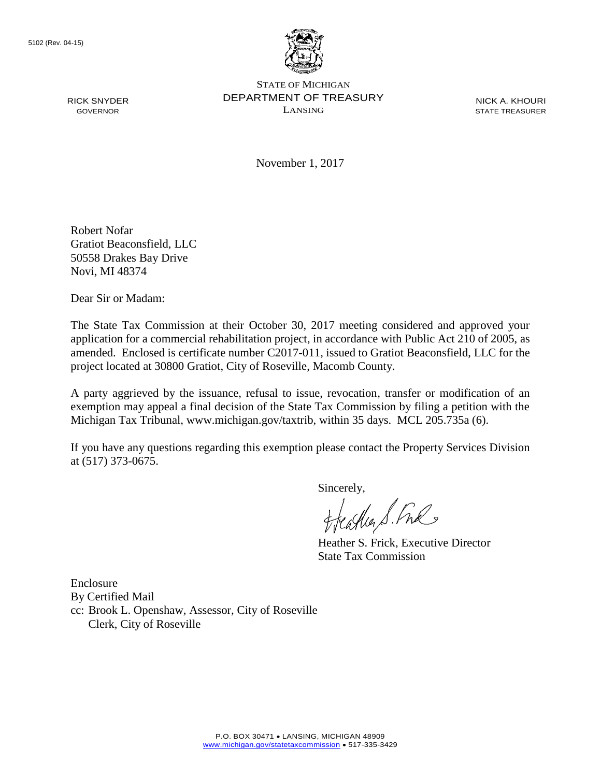RICK SNYDER GOVERNOR



STATE OF MICHIGAN DEPARTMENT OF TREASURY LANSING

NICK A. KHOURI STATE TREASURER

November 1, 2017

Robert Nofar Gratiot Beaconsfield, LLC 50558 Drakes Bay Drive Novi, MI 48374

Dear Sir or Madam:

The State Tax Commission at their October 30, 2017 meeting considered and approved your application for a commercial rehabilitation project, in accordance with Public Act 210 of 2005, as amended. Enclosed is certificate number C2017-011, issued to Gratiot Beaconsfield, LLC for the project located at 30800 Gratiot, City of Roseville, Macomb County.

A party aggrieved by the issuance, refusal to issue, revocation, transfer or modification of an exemption may appeal a final decision of the State Tax Commission by filing a petition with the Michigan Tax Tribunal, www.michigan.gov/taxtrib, within 35 days. MCL 205.735a (6).

If you have any questions regarding this exemption please contact the Property Services Division at (517) 373-0675.

Sincerely,<br>Heather S. Ful

Heather S. Frick, Executive Director State Tax Commission

Enclosure By Certified Mail cc: Brook L. Openshaw, Assessor, City of Roseville Clerk, City of Roseville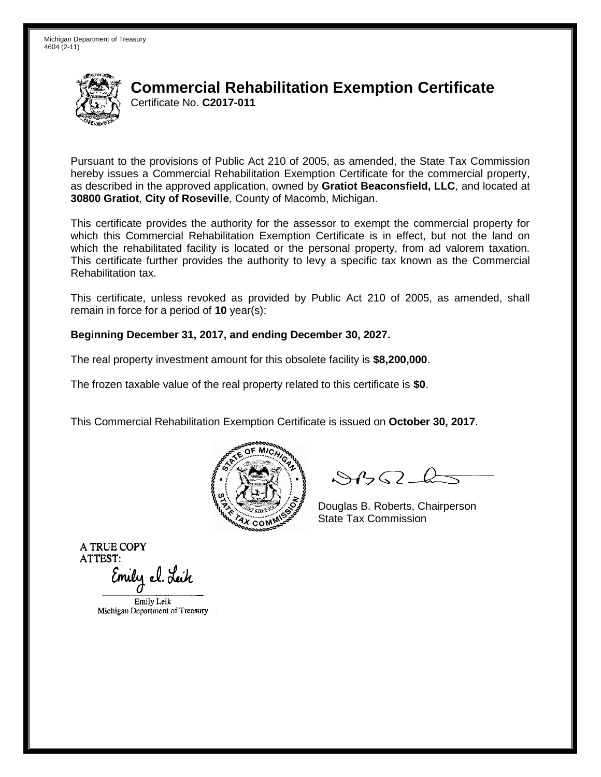

### **Commercial Rehabilitation Exemption Certificate** Certificate No. **C2017-011**

Pursuant to the provisions of Public Act 210 of 2005, as amended, the State Tax Commission hereby issues a Commercial Rehabilitation Exemption Certificate for the commercial property, as described in the approved application, owned by **Gratiot Beaconsfield, LLC**, and located at **30800 Gratiot**, **City of Roseville**, County of Macomb, Michigan.

This certificate provides the authority for the assessor to exempt the commercial property for which this Commercial Rehabilitation Exemption Certificate is in effect, but not the land on which the rehabilitated facility is located or the personal property, from ad valorem taxation. This certificate further provides the authority to levy a specific tax known as the Commercial Rehabilitation tax.

This certificate, unless revoked as provided by Public Act 210 of 2005, as amended, shall remain in force for a period of **10** year(s);

#### **Beginning December 31, 2017, and ending December 30, 2027.**

The real property investment amount for this obsolete facility is **\$8,200,000**.

The frozen taxable value of the real property related to this certificate is **\$0**.

This Commercial Rehabilitation Exemption Certificate is issued on **October 30, 2017**.



 $84562-6$ 

Douglas B. Roberts, Chairperson State Tax Commission

**A TRUE COPY ATTEST:** 

Emily el. Leik

Emily Leik Michigan Department of Treasury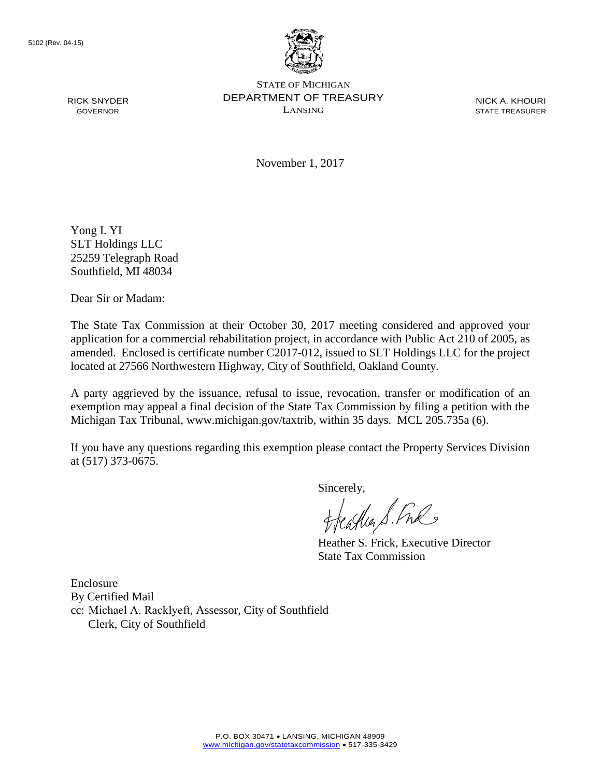RICK SNYDER GOVERNOR



STATE OF MICHIGAN DEPARTMENT OF TREASURY LANSING

NICK A. KHOURI STATE TREASURER

November 1, 2017

Yong I. YI SLT Holdings LLC 25259 Telegraph Road Southfield, MI 48034

Dear Sir or Madam:

The State Tax Commission at their October 30, 2017 meeting considered and approved your application for a commercial rehabilitation project, in accordance with Public Act 210 of 2005, as amended. Enclosed is certificate number C2017-012, issued to SLT Holdings LLC for the project located at 27566 Northwestern Highway, City of Southfield, Oakland County.

A party aggrieved by the issuance, refusal to issue, revocation, transfer or modification of an exemption may appeal a final decision of the State Tax Commission by filing a petition with the Michigan Tax Tribunal, www.michigan.gov/taxtrib, within 35 days. MCL 205.735a (6).

If you have any questions regarding this exemption please contact the Property Services Division at (517) 373-0675.

Sincerely,<br>Heather S. Ful

Heather S. Frick, Executive Director State Tax Commission

Enclosure By Certified Mail cc: Michael A. Racklyeft, Assessor, City of Southfield Clerk, City of Southfield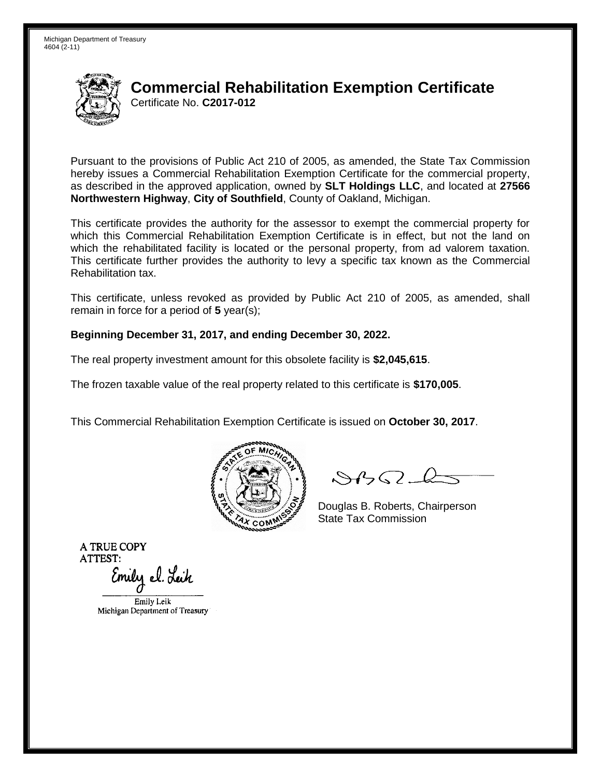

# **Commercial Rehabilitation Exemption Certificate** Certificate No. **C2017-012**

Pursuant to the provisions of Public Act 210 of 2005, as amended, the State Tax Commission hereby issues a Commercial Rehabilitation Exemption Certificate for the commercial property, as described in the approved application, owned by **SLT Holdings LLC**, and located at **27566 Northwestern Highway**, **City of Southfield**, County of Oakland, Michigan.

This certificate provides the authority for the assessor to exempt the commercial property for which this Commercial Rehabilitation Exemption Certificate is in effect, but not the land on which the rehabilitated facility is located or the personal property, from ad valorem taxation. This certificate further provides the authority to levy a specific tax known as the Commercial Rehabilitation tax.

This certificate, unless revoked as provided by Public Act 210 of 2005, as amended, shall remain in force for a period of **5** year(s);

#### **Beginning December 31, 2017, and ending December 30, 2022.**

The real property investment amount for this obsolete facility is **\$2,045,615**.

The frozen taxable value of the real property related to this certificate is **\$170,005**.

This Commercial Rehabilitation Exemption Certificate is issued on **October 30, 2017**.



 $8450 - 6$ 

Douglas B. Roberts, Chairperson State Tax Commission

**A TRUE COPY ATTEST:** 

Emily el. Leik

Emily Leik Michigan Department of Treasury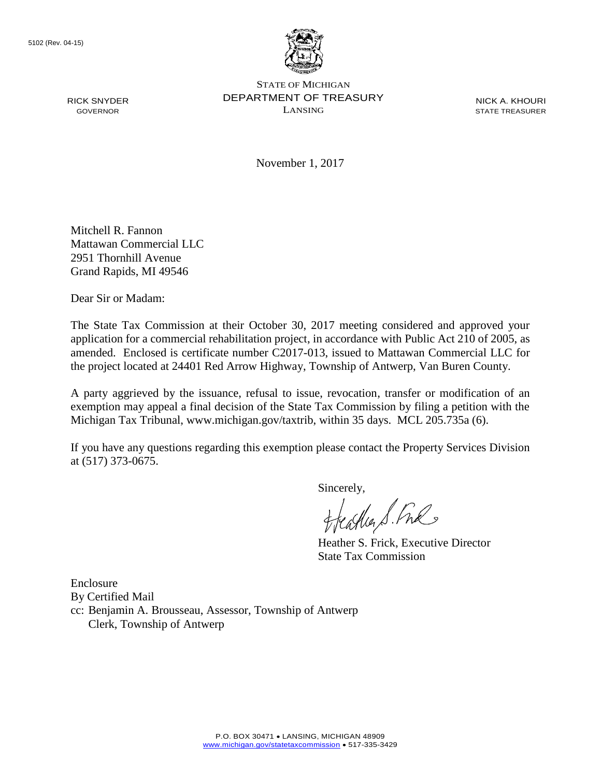RICK SNYDER GOVERNOR



STATE OF MICHIGAN DEPARTMENT OF TREASURY LANSING

NICK A. KHOURI STATE TREASURER

November 1, 2017

Mitchell R. Fannon Mattawan Commercial LLC 2951 Thornhill Avenue Grand Rapids, MI 49546

Dear Sir or Madam:

The State Tax Commission at their October 30, 2017 meeting considered and approved your application for a commercial rehabilitation project, in accordance with Public Act 210 of 2005, as amended. Enclosed is certificate number C2017-013, issued to Mattawan Commercial LLC for the project located at 24401 Red Arrow Highway, Township of Antwerp, Van Buren County.

A party aggrieved by the issuance, refusal to issue, revocation, transfer or modification of an exemption may appeal a final decision of the State Tax Commission by filing a petition with the Michigan Tax Tribunal, www.michigan.gov/taxtrib, within 35 days. MCL 205.735a (6).

If you have any questions regarding this exemption please contact the Property Services Division at (517) 373-0675.

Sincerely,

Heather S. Fre

Heather S. Frick, Executive Director State Tax Commission

Enclosure

By Certified Mail

cc: Benjamin A. Brousseau, Assessor, Township of Antwerp Clerk, Township of Antwerp